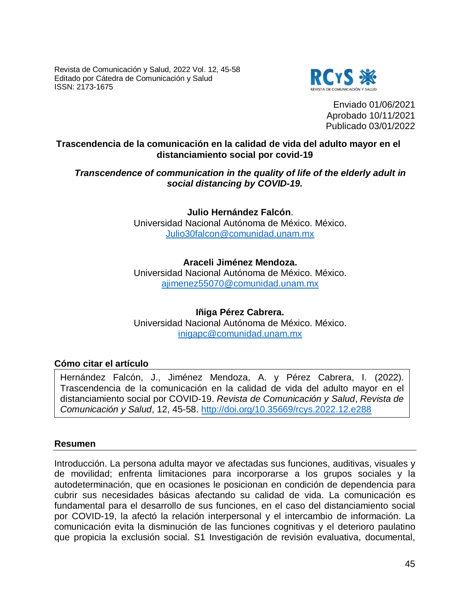Revista de Comunicación y Salud, 2022 Vol. 12, 45-58 Editado por Cátedra de Comunicación y Salud ISSN: 2173-1675



Enviado 01/06/2021 Aprobado 10/11/2021 Publicado 03/01/2022

### **Trascendencia de la comunicación en la calidad de vida del adulto mayor en el distanciamiento social por covid-19**

### *Transcendence of communication in the quality of life of the elderly adult in social distancing by COVID-19.*

**Julio Hernández Falcón**.

Universidad Nacional Autónoma de México. México. [Julio30falcon@comunidad.unam.mx](mailto:Julio30falcon@comunidad.unam.mx)

# **Araceli Jiménez Mendoza.**

Universidad Nacional Autónoma de México. México. [ajimenez55070@comunidad.unam.mx](mailto:ajimenez55070@comunidad.unam.mx)

**Iñiga Pérez Cabrera.** Universidad Nacional Autónoma de México. México. [inigapc@comunidad.unam.mx](mailto:inigapc@comunidad.unam.mx)

## **Cómo citar el artículo**

Hernández Falcón, J., Jiménez Mendoza, A. y Pérez Cabrera, I. (2022). Trascendencia de la comunicación en la calidad de vida del adulto mayor en el distanciamiento social por COVID-19. *Revista de Comunicación y Salud*, *Revista de Comunicación y Salud*, 12, 45-58.<http://doi.org/10.35669/rcys.2022.12.e288>

#### **Resumen**

Introducción. La persona adulta mayor ve afectadas sus funciones, auditivas, visuales y de movilidad; enfrenta limitaciones para incorporarse a los grupos sociales y la autodeterminación, que en ocasiones le posicionan en condición de dependencia para cubrir sus necesidades básicas afectando su calidad de vida. La comunicación es fundamental para el desarrollo de sus funciones, en el caso del distanciamiento social por COVID-19, la afectó la relación interpersonal y el intercambio de información. La comunicación evita la disminución de las funciones cognitivas y el deterioro paulatino que propicia la exclusión social. S1 Investigación de revisión evaluativa, documental,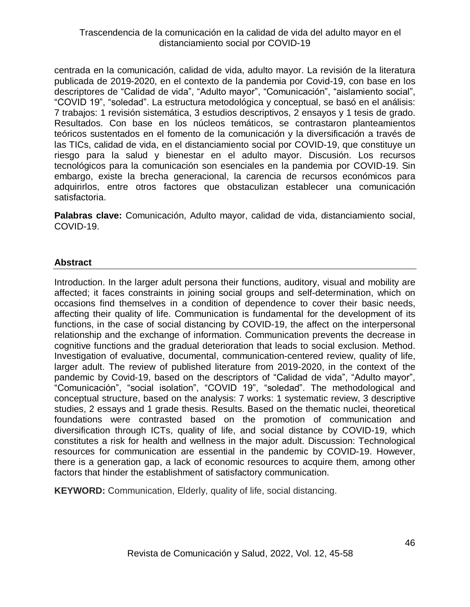centrada en la comunicación, calidad de vida, adulto mayor. La revisión de la literatura publicada de 2019-2020, en el contexto de la pandemia por Covid-19, con base en los descriptores de "Calidad de vida", "Adulto mayor", "Comunicación", "aislamiento social", "COVID 19", "soledad". La estructura metodológica y conceptual, se basó en el análisis: 7 trabajos: 1 revisión sistemática, 3 estudios descriptivos, 2 ensayos y 1 tesis de grado. Resultados. Con base en los núcleos temáticos, se contrastaron planteamientos teóricos sustentados en el fomento de la comunicación y la diversificación a través de las TICs, calidad de vida, en el distanciamiento social por COVID-19, que constituye un riesgo para la salud y bienestar en el adulto mayor. Discusión. Los recursos tecnológicos para la comunicación son esenciales en la pandemia por COVID-19. Sin embargo, existe la brecha generacional, la carencia de recursos económicos para adquirirlos, entre otros factores que obstaculizan establecer una comunicación satisfactoria.

**Palabras clave:** Comunicación, Adulto mayor, calidad de vida, distanciamiento social, COVID-19.

### **Abstract**

Introduction. In the larger adult persona their functions, auditory, visual and mobility are affected; it faces constraints in joining social groups and self-determination, which on occasions find themselves in a condition of dependence to cover their basic needs, affecting their quality of life. Communication is fundamental for the development of its functions, in the case of social distancing by COVID-19, the affect on the interpersonal relationship and the exchange of information. Communication prevents the decrease in cognitive functions and the gradual deterioration that leads to social exclusion. Method. Investigation of evaluative, documental, communication-centered review, quality of life, larger adult. The review of published literature from 2019-2020, in the context of the pandemic by Covid-19, based on the descriptors of "Calidad de vida", "Adulto mayor", "Comunicación", "social isolation", "COVID 19", "soledad". The methodological and conceptual structure, based on the analysis: 7 works: 1 systematic review, 3 descriptive studies, 2 essays and 1 grade thesis. Results. Based on the thematic nuclei, theoretical foundations were contrasted based on the promotion of communication and diversification through ICTs, quality of life, and social distance by COVID-19, which constitutes a risk for health and wellness in the major adult. Discussion: Technological resources for communication are essential in the pandemic by COVID-19. However, there is a generation gap, a lack of economic resources to acquire them, among other factors that hinder the establishment of satisfactory communication.

**KEYWORD:** Communication, Elderly, quality of life, social distancing.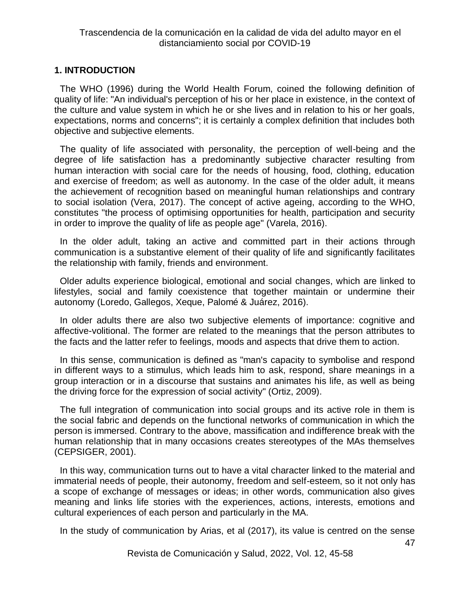### **1. INTRODUCTION**

The WHO (1996) during the World Health Forum, coined the following definition of quality of life: "An individual's perception of his or her place in existence, in the context of the culture and value system in which he or she lives and in relation to his or her goals, expectations, norms and concerns"; it is certainly a complex definition that includes both objective and subjective elements.

The quality of life associated with personality, the perception of well-being and the degree of life satisfaction has a predominantly subjective character resulting from human interaction with social care for the needs of housing, food, clothing, education and exercise of freedom; as well as autonomy. In the case of the older adult, it means the achievement of recognition based on meaningful human relationships and contrary to social isolation (Vera, 2017). The concept of active ageing, according to the WHO, constitutes "the process of optimising opportunities for health, participation and security in order to improve the quality of life as people age" (Varela, 2016).

In the older adult, taking an active and committed part in their actions through communication is a substantive element of their quality of life and significantly facilitates the relationship with family, friends and environment.

Older adults experience biological, emotional and social changes, which are linked to lifestyles, social and family coexistence that together maintain or undermine their autonomy (Loredo, Gallegos, Xeque, Palomé & Juárez, 2016).

In older adults there are also two subjective elements of importance: cognitive and affective-volitional. The former are related to the meanings that the person attributes to the facts and the latter refer to feelings, moods and aspects that drive them to action.

In this sense, communication is defined as "man's capacity to symbolise and respond in different ways to a stimulus, which leads him to ask, respond, share meanings in a group interaction or in a discourse that sustains and animates his life, as well as being the driving force for the expression of social activity" (Ortiz, 2009).

The full integration of communication into social groups and its active role in them is the social fabric and depends on the functional networks of communication in which the person is immersed. Contrary to the above, massification and indifference break with the human relationship that in many occasions creates stereotypes of the MAs themselves (CEPSIGER, 2001).

In this way, communication turns out to have a vital character linked to the material and immaterial needs of people, their autonomy, freedom and self-esteem, so it not only has a scope of exchange of messages or ideas; in other words, communication also gives meaning and links life stories with the experiences, actions, interests, emotions and cultural experiences of each person and particularly in the MA.

In the study of communication by Arias, et al (2017), its value is centred on the sense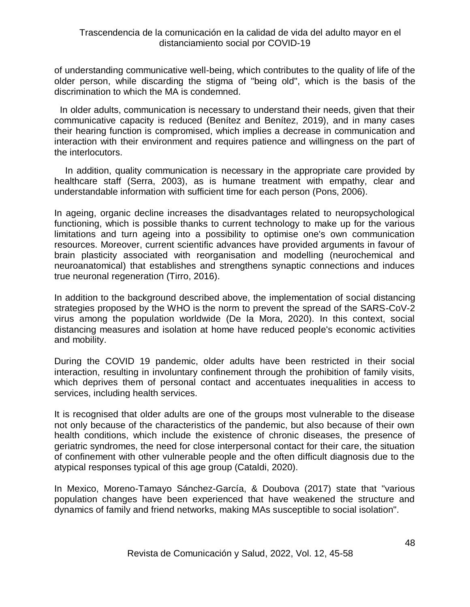of understanding communicative well-being, which contributes to the quality of life of the older person, while discarding the stigma of "being old", which is the basis of the discrimination to which the MA is condemned.

In older adults, communication is necessary to understand their needs, given that their communicative capacity is reduced (Benítez and Benítez, 2019), and in many cases their hearing function is compromised, which implies a decrease in communication and interaction with their environment and requires patience and willingness on the part of the interlocutors.

In addition, quality communication is necessary in the appropriate care provided by healthcare staff (Serra, 2003), as is humane treatment with empathy, clear and understandable information with sufficient time for each person (Pons, 2006).

In ageing, organic decline increases the disadvantages related to neuropsychological functioning, which is possible thanks to current technology to make up for the various limitations and turn ageing into a possibility to optimise one's own communication resources. Moreover, current scientific advances have provided arguments in favour of brain plasticity associated with reorganisation and modelling (neurochemical and neuroanatomical) that establishes and strengthens synaptic connections and induces true neuronal regeneration (Tirro, 2016).

In addition to the background described above, the implementation of social distancing strategies proposed by the WHO is the norm to prevent the spread of the SARS-CoV-2 virus among the population worldwide (De la Mora, 2020). In this context, social distancing measures and isolation at home have reduced people's economic activities and mobility.

During the COVID 19 pandemic, older adults have been restricted in their social interaction, resulting in involuntary confinement through the prohibition of family visits, which deprives them of personal contact and accentuates inequalities in access to services, including health services.

It is recognised that older adults are one of the groups most vulnerable to the disease not only because of the characteristics of the pandemic, but also because of their own health conditions, which include the existence of chronic diseases, the presence of geriatric syndromes, the need for close interpersonal contact for their care, the situation of confinement with other vulnerable people and the often difficult diagnosis due to the atypical responses typical of this age group (Cataldi, 2020).

In Mexico, Moreno-Tamayo Sánchez-García, & Doubova (2017) state that "various population changes have been experienced that have weakened the structure and dynamics of family and friend networks, making MAs susceptible to social isolation".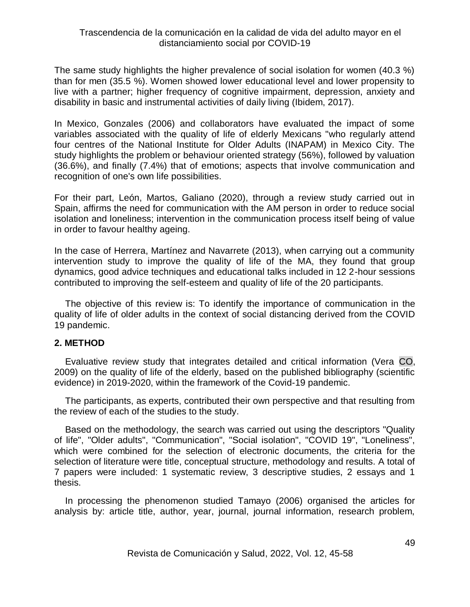The same study highlights the higher prevalence of social isolation for women (40.3 %) than for men (35.5 %). Women showed lower educational level and lower propensity to live with a partner; higher frequency of cognitive impairment, depression, anxiety and disability in basic and instrumental activities of daily living (Ibidem, 2017).

In Mexico, Gonzales (2006) and collaborators have evaluated the impact of some variables associated with the quality of life of elderly Mexicans "who regularly attend four centres of the National Institute for Older Adults (INAPAM) in Mexico City. The study highlights the problem or behaviour oriented strategy (56%), followed by valuation (36.6%), and finally (7.4%) that of emotions; aspects that involve communication and recognition of one's own life possibilities.

For their part, León, Martos, Galiano (2020), through a review study carried out in Spain, affirms the need for communication with the AM person in order to reduce social isolation and loneliness; intervention in the communication process itself being of value in order to favour healthy ageing.

In the case of Herrera, Martínez and Navarrete (2013), when carrying out a community intervention study to improve the quality of life of the MA, they found that group dynamics, good advice techniques and educational talks included in 12 2-hour sessions contributed to improving the self-esteem and quality of life of the 20 participants.

The objective of this review is: To identify the importance of communication in the quality of life of older adults in the context of social distancing derived from the COVID 19 pandemic.

#### **2. METHOD**

Evaluative review study that integrates detailed and critical information (Vera CO, 2009) on the quality of life of the elderly, based on the published bibliography (scientific evidence) in 2019-2020, within the framework of the Covid-19 pandemic.

The participants, as experts, contributed their own perspective and that resulting from the review of each of the studies to the study.

Based on the methodology, the search was carried out using the descriptors "Quality of life", "Older adults", "Communication", "Social isolation", "COVID 19", "Loneliness", which were combined for the selection of electronic documents, the criteria for the selection of literature were title, conceptual structure, methodology and results. A total of 7 papers were included: 1 systematic review, 3 descriptive studies, 2 essays and 1 thesis.

In processing the phenomenon studied Tamayo (2006) organised the articles for analysis by: article title, author, year, journal, journal information, research problem,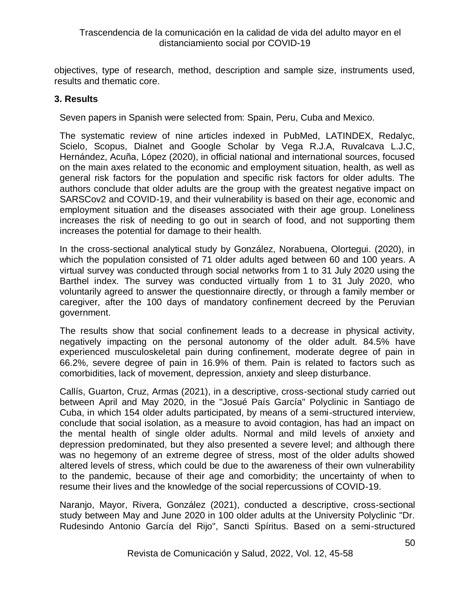objectives, type of research, method, description and sample size, instruments used, results and thematic core.

### **3. Results**

Seven papers in Spanish were selected from: Spain, Peru, Cuba and Mexico.

The systematic review of nine articles indexed in PubMed, LATINDEX, Redalyc, Scielo, Scopus, Dialnet and Google Scholar by Vega R.J.A, Ruvalcava L.J.C, Hernández, Acuña, López (2020), in official national and international sources, focused on the main axes related to the economic and employment situation, health, as well as general risk factors for the population and specific risk factors for older adults. The authors conclude that older adults are the group with the greatest negative impact on SARSCov2 and COVID-19, and their vulnerability is based on their age, economic and employment situation and the diseases associated with their age group. Loneliness increases the risk of needing to go out in search of food, and not supporting them increases the potential for damage to their health.

In the cross-sectional analytical study by González, Norabuena, Olortegui. (2020), in which the population consisted of 71 older adults aged between 60 and 100 years. A virtual survey was conducted through social networks from 1 to 31 July 2020 using the Barthel index. The survey was conducted virtually from 1 to 31 July 2020, who voluntarily agreed to answer the questionnaire directly, or through a family member or caregiver, after the 100 days of mandatory confinement decreed by the Peruvian government.

The results show that social confinement leads to a decrease in physical activity, negatively impacting on the personal autonomy of the older adult. 84.5% have experienced musculoskeletal pain during confinement, moderate degree of pain in 66.2%, severe degree of pain in 16.9% of them. Pain is related to factors such as comorbidities, lack of movement, depression, anxiety and sleep disturbance.

Callís, Guarton, Cruz, Armas (2021), in a descriptive, cross-sectional study carried out between April and May 2020, in the "Josué País García" Polyclinic in Santiago de Cuba, in which 154 older adults participated, by means of a semi-structured interview, conclude that social isolation, as a measure to avoid contagion, has had an impact on the mental health of single older adults. Normal and mild levels of anxiety and depression predominated, but they also presented a severe level; and although there was no hegemony of an extreme degree of stress, most of the older adults showed altered levels of stress, which could be due to the awareness of their own vulnerability to the pandemic, because of their age and comorbidity; the uncertainty of when to resume their lives and the knowledge of the social repercussions of COVID-19.

Naranjo, Mayor, Rivera, González (2021), conducted a descriptive, cross-sectional study between May and June 2020 in 100 older adults at the University Polyclinic "Dr. Rudesindo Antonio García del Rijo", Sancti Spíritus. Based on a semi-structured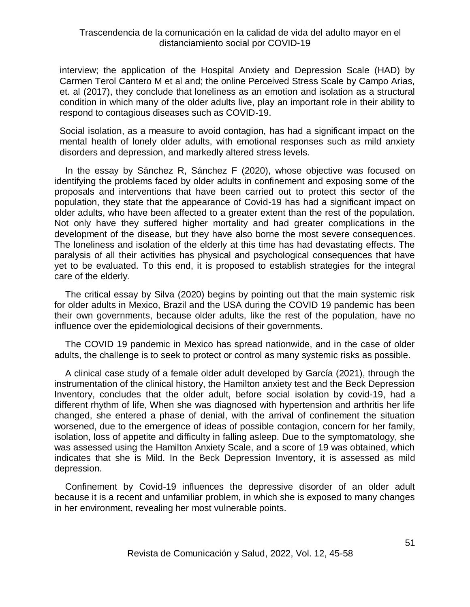interview; the application of the Hospital Anxiety and Depression Scale (HAD) by Carmen Terol Cantero M et al and; the online Perceived Stress Scale by Campo Arias, et. al (2017), they conclude that loneliness as an emotion and isolation as a structural condition in which many of the older adults live, play an important role in their ability to respond to contagious diseases such as COVID-19.

Social isolation, as a measure to avoid contagion, has had a significant impact on the mental health of lonely older adults, with emotional responses such as mild anxiety disorders and depression, and markedly altered stress levels.

In the essay by Sánchez R, Sánchez F (2020), whose objective was focused on identifying the problems faced by older adults in confinement and exposing some of the proposals and interventions that have been carried out to protect this sector of the population, they state that the appearance of Covid-19 has had a significant impact on older adults, who have been affected to a greater extent than the rest of the population. Not only have they suffered higher mortality and had greater complications in the development of the disease, but they have also borne the most severe consequences. The loneliness and isolation of the elderly at this time has had devastating effects. The paralysis of all their activities has physical and psychological consequences that have yet to be evaluated. To this end, it is proposed to establish strategies for the integral care of the elderly.

The critical essay by Silva (2020) begins by pointing out that the main systemic risk for older adults in Mexico, Brazil and the USA during the COVID 19 pandemic has been their own governments, because older adults, like the rest of the population, have no influence over the epidemiological decisions of their governments.

The COVID 19 pandemic in Mexico has spread nationwide, and in the case of older adults, the challenge is to seek to protect or control as many systemic risks as possible.

A clinical case study of a female older adult developed by García (2021), through the instrumentation of the clinical history, the Hamilton anxiety test and the Beck Depression Inventory, concludes that the older adult, before social isolation by covid-19, had a different rhythm of life, When she was diagnosed with hypertension and arthritis her life changed, she entered a phase of denial, with the arrival of confinement the situation worsened, due to the emergence of ideas of possible contagion, concern for her family, isolation, loss of appetite and difficulty in falling asleep. Due to the symptomatology, she was assessed using the Hamilton Anxiety Scale, and a score of 19 was obtained, which indicates that she is Mild. In the Beck Depression Inventory, it is assessed as mild depression.

Confinement by Covid-19 influences the depressive disorder of an older adult because it is a recent and unfamiliar problem, in which she is exposed to many changes in her environment, revealing her most vulnerable points.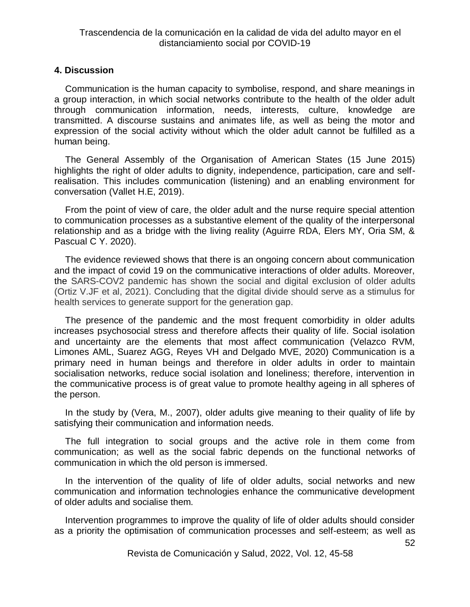#### **4. Discussion**

Communication is the human capacity to symbolise, respond, and share meanings in a group interaction, in which social networks contribute to the health of the older adult through communication information, needs, interests, culture, knowledge are transmitted. A discourse sustains and animates life, as well as being the motor and expression of the social activity without which the older adult cannot be fulfilled as a human being.

The General Assembly of the Organisation of American States (15 June 2015) highlights the right of older adults to dignity, independence, participation, care and selfrealisation. This includes communication (listening) and an enabling environment for conversation (Vallet H.E, 2019).

From the point of view of care, the older adult and the nurse require special attention to communication processes as a substantive element of the quality of the interpersonal relationship and as a bridge with the living reality (Aguirre RDA, Elers MY, Oria SM, & Pascual C Y. 2020).

The evidence reviewed shows that there is an ongoing concern about communication and the impact of covid 19 on the communicative interactions of older adults. Moreover, the SARS-COV2 pandemic has shown the social and digital exclusion of older adults (Ortiz V.JF et al, 2021). Concluding that the digital divide should serve as a stimulus for health services to generate support for the generation gap.

The presence of the pandemic and the most frequent comorbidity in older adults increases psychosocial stress and therefore affects their quality of life. Social isolation and uncertainty are the elements that most affect communication (Velazco RVM, Limones AML, Suarez AGG, Reyes VH and Delgado MVE, 2020) Communication is a primary need in human beings and therefore in older adults in order to maintain socialisation networks, reduce social isolation and loneliness; therefore, intervention in the communicative process is of great value to promote healthy ageing in all spheres of the person.

In the study by (Vera, M., 2007), older adults give meaning to their quality of life by satisfying their communication and information needs.

The full integration to social groups and the active role in them come from communication; as well as the social fabric depends on the functional networks of communication in which the old person is immersed.

In the intervention of the quality of life of older adults, social networks and new communication and information technologies enhance the communicative development of older adults and socialise them.

Intervention programmes to improve the quality of life of older adults should consider as a priority the optimisation of communication processes and self-esteem; as well as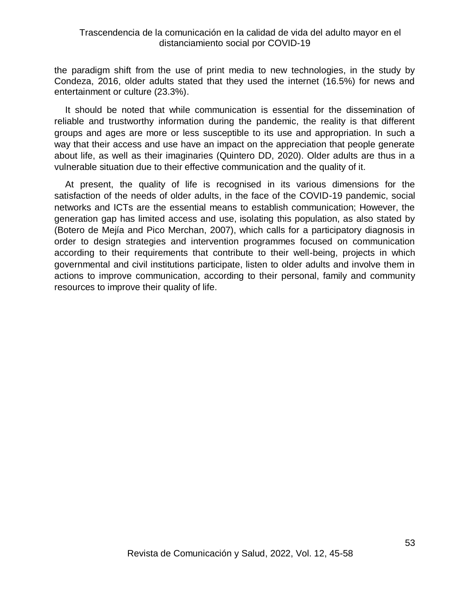the paradigm shift from the use of print media to new technologies, in the study by Condeza, 2016, older adults stated that they used the internet (16.5%) for news and entertainment or culture (23.3%).

It should be noted that while communication is essential for the dissemination of reliable and trustworthy information during the pandemic, the reality is that different groups and ages are more or less susceptible to its use and appropriation. In such a way that their access and use have an impact on the appreciation that people generate about life, as well as their imaginaries (Quintero DD, 2020). Older adults are thus in a vulnerable situation due to their effective communication and the quality of it.

At present, the quality of life is recognised in its various dimensions for the satisfaction of the needs of older adults, in the face of the COVID-19 pandemic, social networks and ICTs are the essential means to establish communication; However, the generation gap has limited access and use, isolating this population, as also stated by (Botero de Mejía and Pico Merchan, 2007), which calls for a participatory diagnosis in order to design strategies and intervention programmes focused on communication according to their requirements that contribute to their well-being, projects in which governmental and civil institutions participate, listen to older adults and involve them in actions to improve communication, according to their personal, family and community resources to improve their quality of life.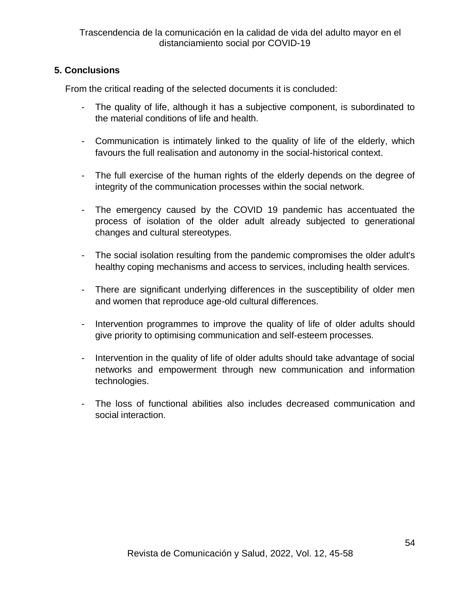# **5. Conclusions**

From the critical reading of the selected documents it is concluded:

- The quality of life, although it has a subjective component, is subordinated to the material conditions of life and health.
- Communication is intimately linked to the quality of life of the elderly, which favours the full realisation and autonomy in the social-historical context.
- The full exercise of the human rights of the elderly depends on the degree of integrity of the communication processes within the social network.
- The emergency caused by the COVID 19 pandemic has accentuated the process of isolation of the older adult already subjected to generational changes and cultural stereotypes.
- The social isolation resulting from the pandemic compromises the older adult's healthy coping mechanisms and access to services, including health services.
- There are significant underlying differences in the susceptibility of older men and women that reproduce age-old cultural differences.
- Intervention programmes to improve the quality of life of older adults should give priority to optimising communication and self-esteem processes.
- Intervention in the quality of life of older adults should take advantage of social networks and empowerment through new communication and information technologies.
- The loss of functional abilities also includes decreased communication and social interaction.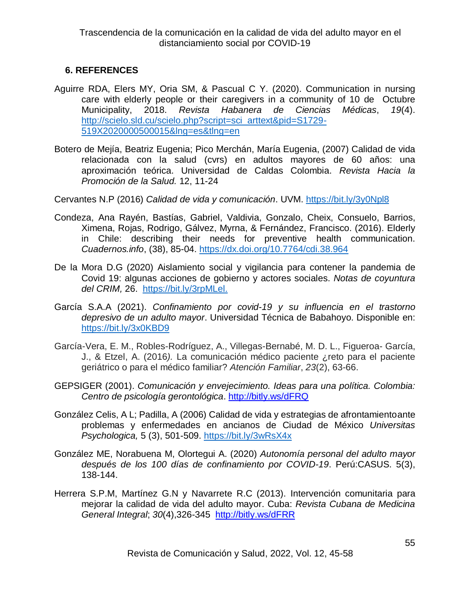# **6. REFERENCES**

- Aguirre RDA, Elers MY, Oria SM, & Pascual C Y. (2020). Communication in nursing care with elderly people or their caregivers in a community of 10 de Octubre Municipality, 2018. *Revista Habanera de Ciencias Médicas*, *19*(4). [http://scielo.sld.cu/scielo.php?script=sci\\_arttext&pid=S1729-](http://scielo.sld.cu/scielo.php?script=sci_arttext&pid=S1729-519X2020000500015&lng=es&tlng=en) [519X2020000500015&lng=es&tlng=en](http://scielo.sld.cu/scielo.php?script=sci_arttext&pid=S1729-519X2020000500015&lng=es&tlng=en)
- Botero de Mejía, Beatriz Eugenia; Pico Merchán, María Eugenia, (2007) Calidad de vida relacionada con la salud (cvrs) en adultos mayores de 60 años: una aproximación teórica. Universidad de Caldas Colombia. *Revista Hacia la Promoción de la Salud.* 12, 11-24

Cervantes N.P (2016) *Calidad de vida y comunicación*. UVM. <https://bit.ly/3y0Npl8>

- Condeza, Ana Rayén, Bastías, Gabriel, Valdivia, Gonzalo, Cheix, Consuelo, Barrios, Ximena, Rojas, Rodrigo, Gálvez, Myrna, & Fernández, Francisco. (2016). Elderly in Chile: describing their needs for preventive health communication. *Cuadernos.info*, (38), 85-04. <https://dx.doi.org/10.7764/cdi.38.964>
- De la Mora D.G (2020) Aislamiento social y vigilancia para contener la pandemia de Covid 19: algunas acciones de gobierno y actores sociales. *Notas de coyuntura del CRIM,* 26. [https://bit.ly/3rpMLel.](https://bit.ly/3rpMLel)
- García S.A.A (2021). *Confinamiento por covid-19 y su influencia en el trastorno depresivo de un adulto mayor*. Universidad Técnica de Babahoyo. Disponible en: <https://bit.ly/3x0KBD9>
- García-Vera, E. M., Robles-Rodríguez, A., Villegas-Bernabé, M. D. L., Figueroa- García, J., & Etzel, A. (2016*).* La comunicación médico paciente ¿reto para el paciente geriátrico o para el médico familiar? *Atención Familiar*, *23*(2), 63-66.
- GEPSIGER (2001). *Comunicación y envejecimiento. Ideas para una política. Colombia: Centro de psicología gerontológica*. <http://bitly.ws/dFRQ>
- González Celis, A L; Padilla, A (2006) Calidad de vida y estrategias de afrontamientoante problemas y enfermedades en ancianos de Ciudad de México *Universitas Psychologica,* 5 (3), 501-509. <https://bit.ly/3wRsX4x>
- González ME, Norabuena M, Olortegui A. (2020) *Autonomía personal del adulto mayor después de los 100 días de confinamiento por COVID-19*. Perú:CASUS. 5(3), 138-144.
- Herrera S.P.M, Martínez G.N y Navarrete R.C (2013). Intervención comunitaria para mejorar la calidad de vida del adulto mayor. Cuba: *Revista Cubana de Medicina General Integral*; *30*(4),326-345 <http://bitly.ws/dFRR>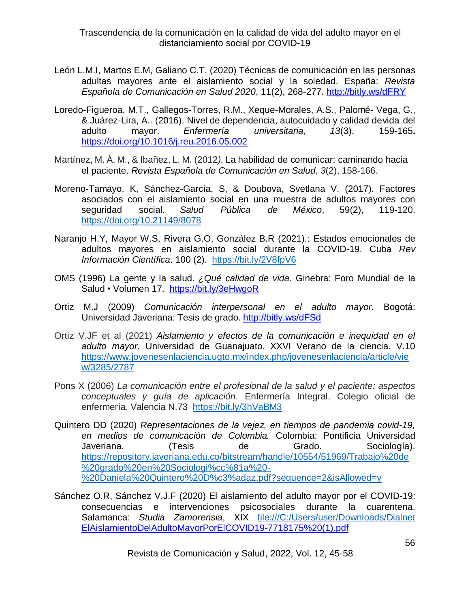Trascendencia de la comunicación en la calidad de vida del adulto mayor en el distanciamiento social por COVID-19

- León L.M.I, Martos E.M, Galiano C.T. (2020) Técnicas de comunicación en las personas adultas mayores ante el aislamiento social y la soledad. España: *Revista Española de Comunicación en Salud 2020*, 11(2), 268-277. <http://bitly.ws/dFRY>
- Loredo-Figueroa, M.T., Gallegos-Torres, R.M., Xeque-Morales, A.S., Palomé- Vega, G., & Juárez-Lira, A.. (2016). Nivel de dependencia, autocuidado y calidad devida del adulto mayor. *Enfermería universitaria*, *13*(3), 159-165**.** <https://doi.org/10.1016/j.reu.2016.05.002>
- Martínez, M. Á. M., & Ibañez, L. M. (2012*).* La habilidad de comunicar: caminando hacia el paciente. *Revista Española de Comunicación en Salud*, *3*(2), 158-166.
- Moreno-Tamayo, K, Sánchez-García, S, & Doubova, Svetlana V. (2017). Factores asociados con el aislamiento social en una muestra de adultos mayores con seguridad social. *Salud Pública de México*, 59(2), 119-120. <https://doi.org/10.21149/8078>
- Naranjo H.Y, Mayor W.S, Rivera G.O, González B.R (2021).: Estados emocionales de adultos mayores en aislamiento social durante la COVID-19. Cuba *Rev Información Científica*. 100 (2). <https://bit.ly/2V8fpV6>
- OMS (1996) La gente y la salud. *¿Qué calidad de vida*. Ginebra: Foro Mundial de Ia Salud • Volumen 17. <https://bit.ly/3eHwgoR>
- Ortiz M.J (2009) *Comunicación interpersonal en el adulto mayor*. Bogotá: Universidad Javeriana: Tesis de grado. <http://bitly.ws/dFSd>
- Ortiz V.JF et al (2021) *Aislamiento y efectos de la comunicación e inequidad en el adulto mayor.* Universidad de Guanajuato. XXVI Verano de la ciencia. V.10 [https://www.jovenesenlaciencia.ugto.mx/index.php/jovenesenlaciencia/article/vie](https://www.jovenesenlaciencia.ugto.mx/index.php/jovenesenlaciencia/article/view/3285/2787) [w/3285/2787](https://www.jovenesenlaciencia.ugto.mx/index.php/jovenesenlaciencia/article/view/3285/2787)
- Pons X (2006) *La comunicación entre el profesional de la salud y el paciente: aspectos conceptuales y guía de aplicación*. Enfermería Integral. Colegio oficial de enfermería. Valencia N.73 <https://bit.ly/3hVaBM3>
- Quintero DD (2020) *Representaciones de la vejez, en tiempos de pandemia covid-19, en medios de comunicación de Colombia.* Colombia: Pontificia Universidad Javeriana. (Tesis de Grado. Sociología). [https://repository.javeriana.edu.co/bitstream/handle/10554/51969/Trabajo%20de](https://repository.javeriana.edu.co/bitstream/handle/10554/51969/Trabajo%20de%20grado%20en%20Sociologi%cc%81a%20-%20Daniela%20Quintero%20D%c3%adaz.pdf?sequence=2&isAllowed=y) [%20grado%20en%20Sociologi%cc%81a%20-](https://repository.javeriana.edu.co/bitstream/handle/10554/51969/Trabajo%20de%20grado%20en%20Sociologi%cc%81a%20-%20Daniela%20Quintero%20D%c3%adaz.pdf?sequence=2&isAllowed=y) [%20Daniela%20Quintero%20D%c3%adaz.pdf?sequence=2&isAllowed=y](https://repository.javeriana.edu.co/bitstream/handle/10554/51969/Trabajo%20de%20grado%20en%20Sociologi%cc%81a%20-%20Daniela%20Quintero%20D%c3%adaz.pdf?sequence=2&isAllowed=y)
- Sánchez O.R, Sánchez V.J.F (2020) El aislamiento del adulto mayor por el COVID-19: consecuencias e intervenciones psicosociales durante la cuarentena. Salamanca: *Studia Zamorensia*, XIX <file:///C:/Users/user/Downloads/Dialnet> ElAislamientoDelAdultoMayorPorElCOVID19-7718175%20(1).pdf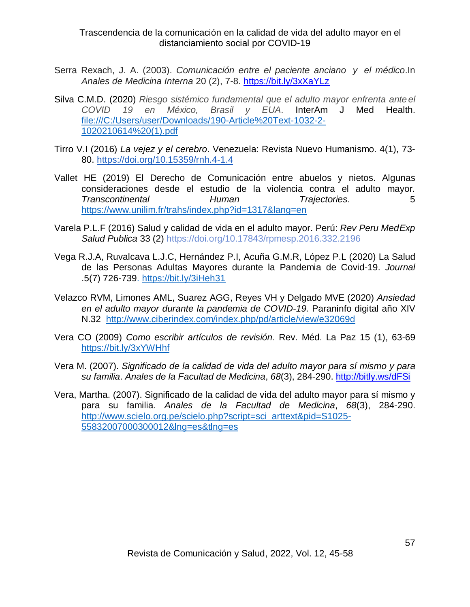Trascendencia de la comunicación en la calidad de vida del adulto mayor en el distanciamiento social por COVID-19

- Serra Rexach, J. A. (2003). *Comunicación entre el paciente anciano y el médico*.In *Anales de Medicina Interna* 20 (2), 7-8. <https://bit.ly/3xXaYLz>
- Silva C.M.D. (2020) *Riesgo sistémico fundamental que el adulto mayor enfrenta ante el COVID 19 en México, Brasil y EUA*. InterAm J Med Health. [file:///C:/Users/user/Downloads/190-Article%20Text-1032-2-](file:///C:/Users/user/Downloads/190-Article%20Text-1032-2-1020210614%20(1).pdf) [1020210614%20\(1\).pdf](file:///C:/Users/user/Downloads/190-Article%20Text-1032-2-1020210614%20(1).pdf)
- Tirro V.I (2016) *La vejez y el cerebro*. Venezuela: Revista Nuevo Humanismo. 4(1), 73- 80. <https://doi.org/10.15359/rnh.4-1.4>
- Vallet HE (2019) El Derecho de Comunicación entre abuelos y nietos. Algunas consideraciones desde el estudio de la violencia contra el adulto mayor*. Transcontinental Human Trajectories*. 5 <https://www.unilim.fr/trahs/index.php?id=1317&lang=en>
- Varela P.L.F (2016) Salud y calidad de vida en el adulto mayor. Perú: *Rev Peru MedExp Salud Publica* 33 (2) <https://doi.org/10.17843/rpmesp.2016.332.2196>
- Vega R.J.A, Ruvalcava L.J.C, Hernández P.I, Acuña G.M.R, López P.L (2020) La Salud de las Personas Adultas Mayores durante la Pandemia de Covid-19. *Journal* .5(7) 726-739.<https://bit.ly/3iHeh31>
- Velazco RVM, Limones AML, Suarez AGG, Reyes VH y Delgado MVE (2020) *Ansiedad en el adulto mayor durante la pandemia de COVID-19.* Paraninfo digital año XIV N.32 <http://www.ciberindex.com/index.php/pd/article/view/e32069d>
- Vera CO (2009) *Como escribir artículos de revisión*. Rev. Méd. La Paz 15 (1), 63-69 <https://bit.ly/3xYWHhf>
- Vera M. (2007). *Significado de la calidad de vida del adulto mayor para sí mismo y para su familia*. *Anales de la Facultad de Medicina*, *68*(3), 284-290. <http://bitly.ws/dFSi>
- Vera, Martha. (2007). Significado de la calidad de vida del adulto mayor para sí mismo y para su familia. *Anales de la Facultad de Medicina*, *68*(3), 284-290. [http://www.scielo.org.pe/scielo.php?script=sci\\_arttext&pid=S1025-](http://www.scielo.org.pe/scielo.php?script=sci_arttext&pid=S1025-55832007000300012&lng=es&tlng=es) [55832007000300012&lng=es&tlng=es](http://www.scielo.org.pe/scielo.php?script=sci_arttext&pid=S1025-55832007000300012&lng=es&tlng=es)